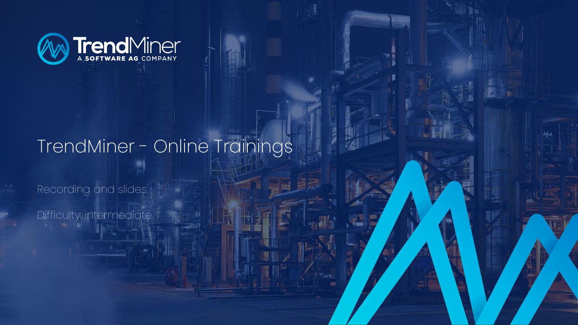

## TrendMiner - Online Trainings

Recording and slides Difficulty: intermediate

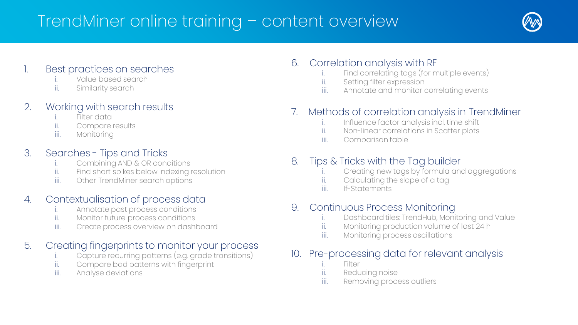## TrendMiner online training – content overview

### Best practices on searches

- i. Value based search
- ii. Similarity search

### 2. Working with search results

- Filter data
- ii. Compare results
- iii. Monitoring

#### 3. Searches - Tips and Tricks

- Combining AND & OR conditions
- ii. Find short spikes below indexing resolution
- iii. Other TrendMiner search options

- Annotate past process conditions
- ii. Monitor future process conditions
- iii. Create process overview on dashboard

### 4. Contextualisation of process data

- Influence factor analysis incl. time shift
- ii. Non-linear correlations in Scatter plots
- iii. Comparison table

### 5. Creating fingerprints to monitor your process

- Capture recurring patterns (e.g. grade transitions)
- ii. Compare bad patterns with fingerprint
- iii. Analyse deviations



### 6. Correlation analysis with RE

- Find correlating tags (for multiple events)
- ii. Setting filter expression
- iii. Annotate and monitor correlating events

### 7. Methods of correlation analysis in TrendMiner

### 8. Tips & Tricks with the Tag builder

- Creating new tags by formula and aggregations
- ii. Calculating the slope of a tag
- iii. If-Statements

#### 9. Continuous Process Monitoring

- Dashboard tiles: TrendHub, Monitoring and Value
- ii. Monitoring production volume of last 24 h
- iii. Monitoring process oscillations

### Pre-processing data for relevant analysis

- **Filter**
- ii. Reducing noise
- iii. Removing process outliers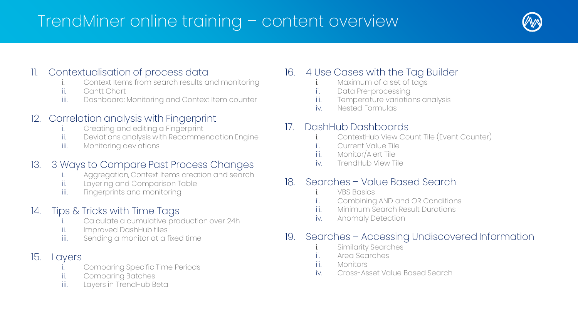## TrendMiner online training – content overview

### 11. Contextualisation of process data

- Context Items from search results and monitoring
- ii. Gantt Chart
- iii. Dashboard: Monitoring and Context Item counter

### 12. Correlation analysis with Fingerprint

- i. Creating and editing a Fingerprint<br>ii. Deviations analysis with Recomme
- Deviations analysis with Recommendation Engine
- iii. Monitoring deviations

### 13. 3 Ways to Compare Past Process Changes

- i. Aggregation, Context Items creation and search<br>ii. Layering and Comparison Table
- Layering and Comparison Table
- iii. Fingerprints and monitoring
- Maximum of a set of tags
- ii. Data Pre-processing
- iii. Temperature variations analysis
- iv. Nested Formulas

- ContextHub View Count Tile (Event Counter)
- ii. Current Value Tile<br>iii. Monitor/Alert Tile
- Monitor/Alert Tile
- iv. TrendHub View Tile

#### 14. Tips & Tricks with Time Tags

- Calculate a cumulative production over 24h
- 
- ii. Improved DashHub tiles<br>iii. Sending a monitor at a f Sending a monitor at a fixed time
- **VBS Basics**
- ii. Combining AND and OR Conditions<br>iii. Minimum Search Result Durations
- Minimum Search Result Durations
- iv. Anomaly Detection

- Similarity Searches
- ii. Area Searches
- iii. Monitors
- iv. Cross-Asset Value Based Search

#### 15. Layers

- Comparing Specific Time Periods
- ii. Comparing Batches
- iii. Layers in TrendHub Beta



### 16. 4 Use Cases with the Tag Builder

### 17. DashHub Dashboards

### 18. Searches – Value Based Search

### 19. Searches – Accessing Undiscovered Information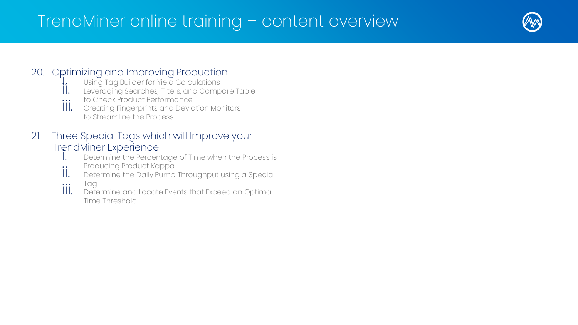## TrendMiner online training – content overview

# 20. Optimizing and Improving Production<br> **i.** Using Tag Builder for Yield Calculations<br> **ii.** Leveraging Searches, Filters, and Compare Table<br> **...** to Check Product Performance

- 
- 
- $III.$  Creating Fingerprints and Deviation Monitors to Streamline the Process

## 21. Three Special Tags which will Improve your TrendMiner Experience<br>
1. Determine the Percentage of Time when the Process is<br>
:: Producing Product Kappa

- 
- 
- .. Producing Product Kappa<br> **ii.** Determine the Daily Pump Throughput using a Special<br>
... Tag
- $III.$  Determine and Locate Events that Exceed an Optimal Time Threshold



- 
- 
-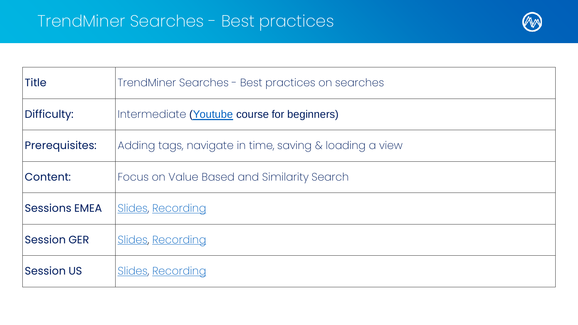## TrendMiner Searches - Best practices

| <b>Title</b>         | TrendMiner Searches - Best p  |
|----------------------|-------------------------------|
| Difficulty:          | Intermediate (Youtube course  |
| Prerequisites:       | Adding tags, navigate in time |
| <b>Content:</b>      | Focus on Value Based and Si   |
| <b>Sessions EMEA</b> | Slides, Recording             |
| <b>Session GER</b>   | Slides, Recording             |
| <b>Session US</b>    | Slides, Recording             |



practices on searches

for beginners)

e, saving & loading a view

imilarity Search

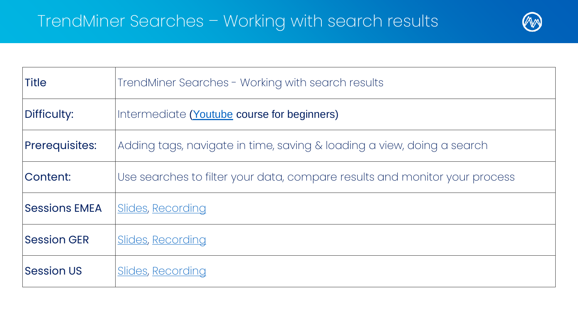## TrendMiner Searches – Working with search results

| <b>Title</b>          | TrendMiner Searches - Workir   |
|-----------------------|--------------------------------|
| Difficulty:           | Intermediate (Youtube course   |
| <b>Prerequisites:</b> | Adding tags, navigate in time  |
| <b>Content:</b>       | Use searches to filter your do |
| <b>Sessions EMEA</b>  | Slides, Recording              |
| <b>Session GER</b>    | Slides, Recording              |
| <b>Session US</b>     | Slides, Recording              |



ng with search results

for beginners)

e, saving & loading a view, doing a search

ata, compare results and monitor your process

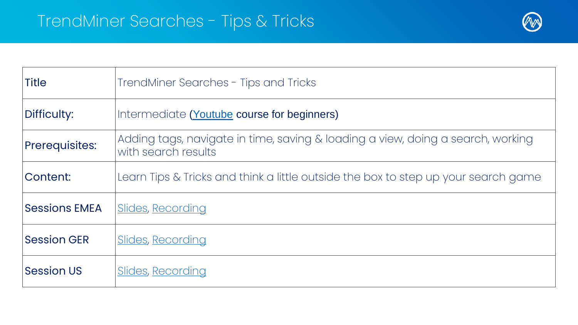## TrendMiner Searches - Tips & Tricks

| <b>Title</b>         | TrendMiner Searches - Tips a                         |
|----------------------|------------------------------------------------------|
| Difficulty:          | Intermediate (Youtube course                         |
| Prerequisites:       | Adding tags, navigate in time<br>with search results |
| <b>Content:</b>      | Learn Tips & Tricks and think a                      |
| <b>Sessions EMEA</b> | Slides, Recording                                    |
| <b>Session GER</b>   | Slides, Recording                                    |
| <b>Session US</b>    | Slides, Recording                                    |





### and Tricks

- for beginners)
- e, saving & loading a view, doing a search, working
- a little outside the box to step up your search game

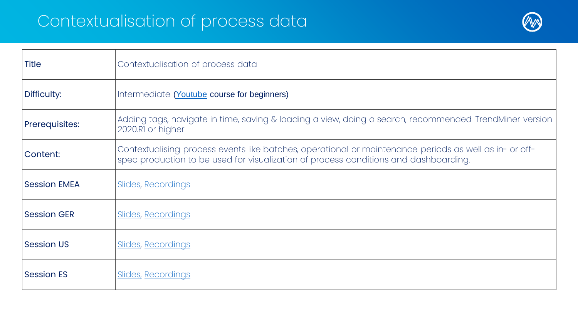## Contextualisation of process data

| <b>Title</b>        | Contextualisation of process data                                                         |
|---------------------|-------------------------------------------------------------------------------------------|
| Difficulty:         | Intermediate (Youtube course for beginners)                                               |
| Prerequisites:      | Adding tags, navigate in time, saving & loo<br>2020.RI or higher                          |
| Content:            | Contextualising process events like batch<br>spec production to be used for visualization |
| <b>Session EMEA</b> | Slides, Recordings                                                                        |
| <b>Session GER</b>  | <u>Slides, Recordings</u>                                                                 |
| <b>Session US</b>   | <u>Slides, Recordings</u>                                                                 |
| <b>Session ES</b>   | <u>Slides, Recordings</u>                                                                 |





& loading a view, doing a search, recommended TrendMiner version

atches, operational or maintenance periods as well as in- or off-Ilization of process conditions and dashboarding.

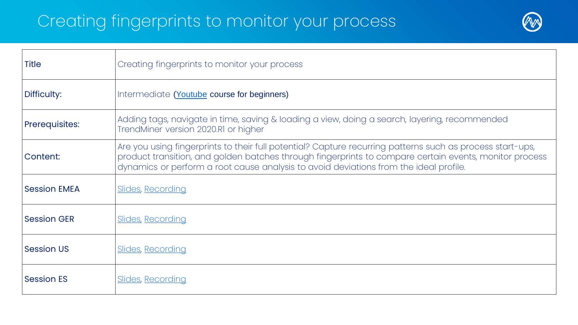## Creating fingerprints to monitor your process

| <b>Title</b>        | Creating fingerprints to monitor your proc                                                                                            |
|---------------------|---------------------------------------------------------------------------------------------------------------------------------------|
| Difficulty:         | Intermediate (Youtube course for beginners)                                                                                           |
| Prerequisites:      | Adding tags, navigate in time, saving & loo<br>TrendMiner version 2020.RI or higher                                                   |
| Content:            | Are you using fingerprints to their full pote<br>product transition, and golden batches th<br>dynamics or perform a root cause analys |
| <b>Session EMEA</b> | Slides, Recording                                                                                                                     |
| <b>Session GER</b>  | <u>Slides, Recording</u>                                                                                                              |
| <b>Session US</b>   | <u>Slides, Recording</u>                                                                                                              |
| <b>Session ES</b>   | <u>Slides, Recording</u>                                                                                                              |



process

& loading a view, doing a search, layering, recommended

potential? Capture recurring patterns such as process start-ups, es through fingerprints to compare certain events, monitor process nalysis to avoid deviations from the ideal profile.

| $\overline{\mathsf{S}}$<br>ゝ |  |
|------------------------------|--|
|                              |  |
|                              |  |
|                              |  |
|                              |  |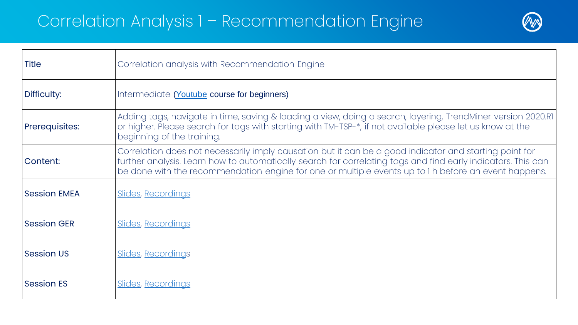## Correlation Analysis 1 – Recommendation Engine

| <b>Title</b>          | Correlation analysis with Recommendatio                                                                                         |
|-----------------------|---------------------------------------------------------------------------------------------------------------------------------|
| Difficulty:           | Intermediate (Youtube course for beginners)                                                                                     |
| <b>Prerequisites:</b> | Adding tags, navigate in time, saving & loo<br>or higher. Please search for tags with start<br>beginning of the training.       |
| <b>Content:</b>       | Correlation does not necessarily imply ca<br>further analysis. Learn how to automatica<br>be done with the recommendation engin |
| <b>Session EMEA</b>   | <u>Slides, Recordings</u>                                                                                                       |
| <b>Session GER</b>    | <u>Slides, Recordings</u>                                                                                                       |
| <b>Session US</b>     | <u>Slides, Recording</u> s                                                                                                      |
| <b>Session ES</b>     | <u>Slides, Recordings</u>                                                                                                       |



#### dation Engine

& loading a view, doing a search, layering, TrendMiner version 2020. starting with TM-TSP-\*, if not available please let us know at the

ly causation but it can be a good indicator and starting point for atically search for correlating tags and find early indicators. This car engine for one or multiple events up to 1 h before an event happens.

| 0. R1                        |  |
|------------------------------|--|
| $\overline{\mathsf{I}}$<br>S |  |
|                              |  |
|                              |  |
|                              |  |
|                              |  |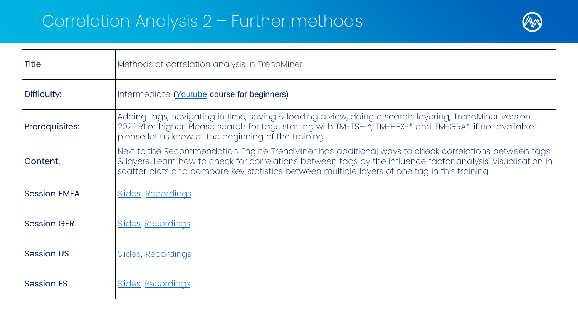## Correlation Analysis 2 – Further methods

| <b>Title</b>        | Methods of correlation analysis in TrendMiner                                                                                                        |
|---------------------|------------------------------------------------------------------------------------------------------------------------------------------------------|
| Difficulty:         | Intermediate (Youtube course for beginners)                                                                                                          |
| Prerequisites:      | Adding tags, navigating in time, saving & load<br>2020.RI or higher. Please search for tags starti<br>please let us know at the beginning of the tro |
| Content:            | Next to the Recommendation Engine TrendMi<br>& layers. Learn how to check for correlations k<br>scatter plots and compare key statistics bety        |
| <b>Session EMEA</b> | <u>Slides Recordings</u>                                                                                                                             |
| <b>Session GER</b>  | <u>Slides, Recordings</u>                                                                                                                            |
| <b>Session US</b>   | <u>Slides, Recordings</u>                                                                                                                            |
| <b>Session ES</b>   | Slides, Recordings                                                                                                                                   |



- $\log$  & loading a view, doing a search, layering, TrendMiner version 1gs starting with TM-TSP-\*, TM-HEX-\* and TM-GRA\*, if not available of the training
- TrendMiner has additional ways to check correlations between tag lations between tags by the influence factor analysis, visualisation tics between multiple layers of one tag in this training.

| gs<br>เ in |  |
|------------|--|
|            |  |
|            |  |
|            |  |
|            |  |
|            |  |
|            |  |
|            |  |
|            |  |
|            |  |
|            |  |
|            |  |
|            |  |
|            |  |
|            |  |
|            |  |
|            |  |
|            |  |
|            |  |
|            |  |
|            |  |
|            |  |
|            |  |
|            |  |
|            |  |
|            |  |
|            |  |
|            |  |
|            |  |
|            |  |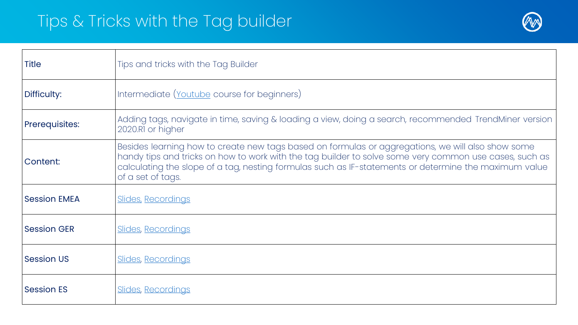| <b>Title</b>          | Tips and tricks with the Tag Builder                                                                                                         |
|-----------------------|----------------------------------------------------------------------------------------------------------------------------------------------|
| Difficulty:           | Intermediate (Youtube course for beg                                                                                                         |
| <b>Prerequisites:</b> | Adding tags, navigate in time, saving<br>2020.RI or higher                                                                                   |
| <b>Content:</b>       | Besides learning how to create new t<br>handy tips and tricks on how to work<br>calculating the slope of a tag, nesting<br>of a set of tags. |
| <b>Session EMEA</b>   | <u>Slides, Recordings</u>                                                                                                                    |
| <b>Session GER</b>    | <u>Slides, Recordings</u>                                                                                                                    |
| <b>Session US</b>     | <u>Slides, Recordings</u>                                                                                                                    |
| <b>Session ES</b>     | <u>Slides, Recordings</u>                                                                                                                    |





ginners)

& loading a view, doing a search, recommended TrendMiner version

tags based on formulas or aggregations, we will also show some with the tag builder to solve some very common use cases, such c g formulas such as IF-statements or determine the maximum value

| on             |  |
|----------------|--|
| JS<br>$\Theta$ |  |
|                |  |
|                |  |
|                |  |
|                |  |

## Tips & Tricks with the Tag builder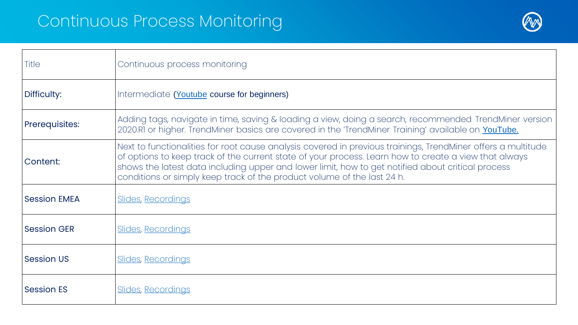| Title               | Continuous process monitoring                                                                                                                                                            |
|---------------------|------------------------------------------------------------------------------------------------------------------------------------------------------------------------------------------|
| Difficulty:         | Intermediate (Youtube course for beginners)                                                                                                                                              |
| Prerequisites:      | Adding tags, navigate in time, saving & loo<br>2020.RI or higher. TrendMiner basics are co                                                                                               |
| Content:            | Next to functionalities for root cause analy<br>of options to keep track of the current stat<br>shows the latest data including upper and<br>conditions or simply keep track of the pro- |
| <b>Session EMEA</b> | <u>Slides, Recordings</u>                                                                                                                                                                |
| <b>Session GER</b>  | <u>Slides, Recordings</u>                                                                                                                                                                |
| <b>Session US</b>   | Slides, Recordings                                                                                                                                                                       |
| <b>Session ES</b>   | <u>Slides, Recordings</u>                                                                                                                                                                |





& loading a view, doing a search, recommended TrendMiner versio are covered in the 'TrendMiner Training' available on [YouTube.](https://www.youtube.com/watch?v=ebueBoTLzcA&list=PLoPrtDguHf0lSyjbKbp3grp2xNw-lTZnf)

analysis covered in previous trainings, TrendMiner offers a multitude it state of your process. Learn how to create a view that always er and lower limit, how to get notified about critical process eproduct volume of the last 24 h.

| on                         |  |
|----------------------------|--|
|                            |  |
|                            |  |
|                            |  |
| $\overline{\epsilon}$<br>É |  |
|                            |  |
|                            |  |
|                            |  |
|                            |  |
|                            |  |
|                            |  |
|                            |  |
|                            |  |
|                            |  |
|                            |  |
|                            |  |
|                            |  |
|                            |  |
|                            |  |
|                            |  |
|                            |  |
|                            |  |
|                            |  |
|                            |  |
|                            |  |
|                            |  |
|                            |  |
|                            |  |
|                            |  |
|                            |  |

### Continuous Process Monitoring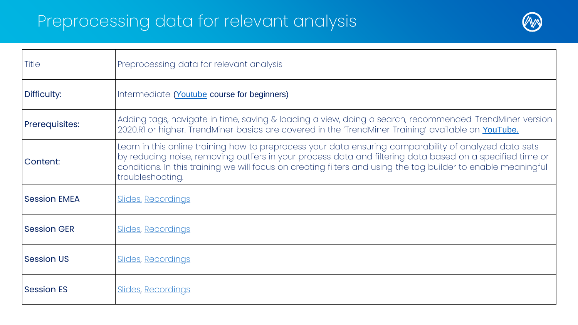| Title                 | Preprocessing data for relevant analysis                                                                                                                       |
|-----------------------|----------------------------------------------------------------------------------------------------------------------------------------------------------------|
| Difficulty:           | Intermediate (Youtube course for beginners)                                                                                                                    |
| <b>Prerequisites:</b> | Adding tags, navigate in time, saving & loo<br>2020.RI or higher. TrendMiner basics are co                                                                     |
| Content:              | Learn in this online training how to prepro<br>by reducing noise, removing outliers in yo<br>conditions. In this training we will focus on<br>troubleshooting. |
| <b>Session EMEA</b>   | Slides, Recordings                                                                                                                                             |
| <b>Session GER</b>    | <u>Slides, Recordings</u>                                                                                                                                      |
| <b>Session US</b>     | <u>Slides, Recordings</u>                                                                                                                                      |
| <b>Session ES</b>     | <u>Slides, Recordings</u>                                                                                                                                      |



& loading a view, doing a search, recommended TrendMiner version are covered in the 'TrendMiner Training' available on [YouTube.](https://www.youtube.com/watch?v=ebueBoTLzcA&list=PLoPrtDguHf0lSyjbKbp3grp2xNw-lTZnf)

eprocess your data ensuring comparability of analyzed data sets in your process data and filtering data based on a specified time c us on creating filters and using the tag builder to enable meaningfu

| $\bigcap$<br>$\overline{\bigcirc}$                    |  |
|-------------------------------------------------------|--|
| $\bigcirc$<br>$\mathsf{r}$<br>$\overline{\mathsf{L}}$ |  |
|                                                       |  |
|                                                       |  |
|                                                       |  |
|                                                       |  |

## Preprocessing data for relevant analysis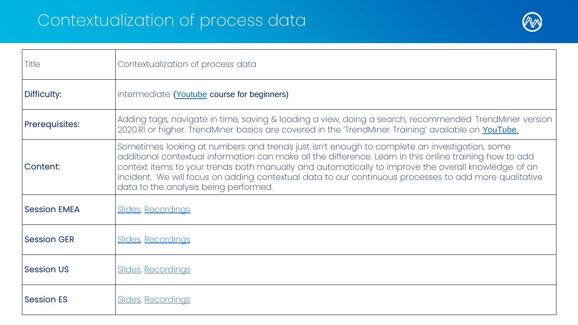| Title               | Contextualization of process data                                                                                                                                                                                    |
|---------------------|----------------------------------------------------------------------------------------------------------------------------------------------------------------------------------------------------------------------|
| Difficulty:         | Intermediate (Youtube course for beginners)                                                                                                                                                                          |
| Prerequisites:      | Adding tags, navigate in time, saving & loo<br>2020.RI or higher. TrendMiner basics are co                                                                                                                           |
| <b>Content:</b>     | Sometimes looking at numbers and trend<br>additional contextual information can mc<br>context items to your trends both manual<br>incident. We will focus on adding context<br>data to the analysis being performed. |
| <b>Session EMEA</b> | Slides, Recordings                                                                                                                                                                                                   |
| <b>Session GER</b>  | <u>Slides, Recordings</u>                                                                                                                                                                                            |
| <b>Session US</b>   | <u>Slides, Recordings</u>                                                                                                                                                                                            |
| <b>Session ES</b>   | Slides, Recordings                                                                                                                                                                                                   |





& loading a view, doing a search, recommended TrendMiner version are covered in the 'TrendMiner Training' available on [YouTube.](https://www.youtube.com/watch?v=ebueBoTLzcA&list=PLoPrtDguHf0lSyjbKbp3grp2xNw-lTZnf)

trends just isn't enough to complete an investigation, some n make all the difference. Learn in this online training how to add anually and automatically to improve the overall knowledge of an ntextual data to our continuous processes to add more qualitative



## Contextualization of process data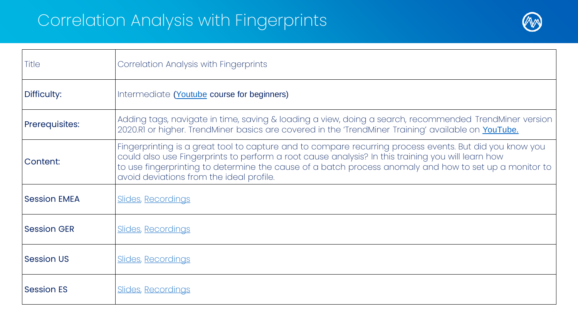| Title                 | Correlation Analysis with Fingerprints                                                                                                                                                 |
|-----------------------|----------------------------------------------------------------------------------------------------------------------------------------------------------------------------------------|
| Difficulty:           | Intermediate (Youtube course for beginners)                                                                                                                                            |
| <b>Prerequisites:</b> | Adding tags, navigate in time, saving & loo<br>2020.RI or higher. TrendMiner basics are co                                                                                             |
| Content:              | Fingerprinting is a great tool to capture are<br>could also use Fingerprints to perform a re<br>to use fingerprinting to determine the cau<br>avoid deviations from the ideal profile. |
| <b>Session EMEA</b>   | <u>Slides, Recordings</u>                                                                                                                                                              |
| <b>Session GER</b>    | <u>Slides, Recordings</u>                                                                                                                                                              |
| <b>Session US</b>     | <u>Slides, Recordings</u>                                                                                                                                                              |
| <b>Session ES</b>     | Slides, Recordings                                                                                                                                                                     |



- & loading a view, doing a search, recommended TrendMiner version are covered in the 'TrendMiner Training' available on [YouTube.](https://www.youtube.com/watch?v=ebueBoTLzcA&list=PLoPrtDguHf0lSyjbKbp3grp2xNw-lTZnf)
- ire and to compare recurring process events. But did you know you n a root cause analysis? In this training you will learn how e cause of a batch process anomaly and how to set up a monitor to



## Correlation Analysis with Fingerprints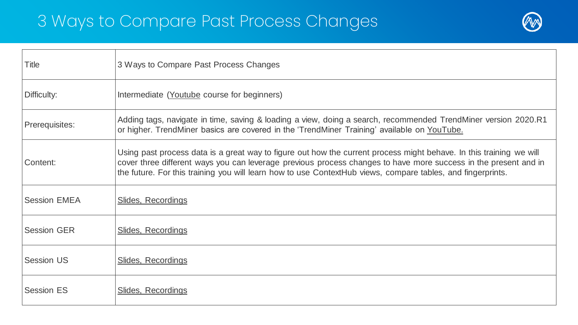| <b>Title</b>          | 3 Ways to Compare Past Process Changes                                                                                                           |
|-----------------------|--------------------------------------------------------------------------------------------------------------------------------------------------|
| Difficulty:           | Intermediate (Youtube course for beginners)                                                                                                      |
| <b>Prerequisites:</b> | Adding tags, navigate in time, saving & loadi<br>or higher. TrendMiner basics are covered in                                                     |
| Content:              | Using past process data is a great way to fig<br>cover three different ways you can leverage<br>the future. For this training you will learn how |
| <b>Session EMEA</b>   | Slides, Recordings                                                                                                                               |
| <b>Session GER</b>    | Slides, Recordings                                                                                                                               |
| <b>Session US</b>     | <b>Slides, Recordings</b>                                                                                                                        |
| <b>Session ES</b>     | Slides, Recordings                                                                                                                               |



 $P$ ading a view, doing a search, recommended TrendMiner version 2020.R1 in the 'TrendMiner Training' available on [YouTube.](https://www.youtube.com/watch?v=ebueBoTLzcA&list=PLoPrtDguHf0lSyjbKbp3grp2xNw-lTZnf)

figure out how the current process might behave. In this training we will age previous process changes to have more success in the present and in how to use ContextHub views, compare tables, and fingerprints.

| $\overline{a}$<br>1         |  |
|-----------------------------|--|
|                             |  |
|                             |  |
|                             |  |
|                             |  |
|                             |  |
|                             |  |
|                             |  |
|                             |  |
| Ì<br><b>Service Service</b> |  |
|                             |  |
|                             |  |
|                             |  |
|                             |  |
|                             |  |
|                             |  |
|                             |  |
|                             |  |
|                             |  |
|                             |  |
|                             |  |
|                             |  |
|                             |  |
|                             |  |
|                             |  |
|                             |  |
|                             |  |
|                             |  |
|                             |  |
|                             |  |
|                             |  |
|                             |  |
|                             |  |
|                             |  |
|                             |  |
|                             |  |
|                             |  |
|                             |  |
|                             |  |
|                             |  |

## 3 Ways to Compare Past Process Changes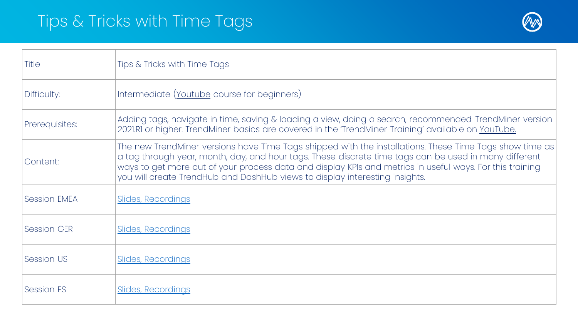| Title          | Tips & Tricks with Time Tags                                                                                                                                 |
|----------------|--------------------------------------------------------------------------------------------------------------------------------------------------------------|
| Difficulty:    | Intermediate (Youtube course for beg                                                                                                                         |
| Prerequisites: | Adding tags, navigate in time, saving<br>2021.RI or higher. TrendMiner basics ar                                                                             |
| Content:       | The new TrendMiner versions have Tir<br>a tag through year, month, day, and h<br>ways to get more out of your process<br>you will create TrendHub and DashHu |
| Session FMFA   | <u>Slides, Recordings</u>                                                                                                                                    |
| Session GER    | Slides, Recordings                                                                                                                                           |
| Session US     | <u>Slides, Recordings</u>                                                                                                                                    |
| Session FS     | <u>Slides, Recordings</u>                                                                                                                                    |



ginners)

& loading a view, doing a search, recommended TrendMiner version re covered in the 'TrendMiner Training' available on <u>[YouTube.](https://www.youtube.com/watch?v=ebueBoTLzcA&list=PLoPrtDguHf0lSyjbKbp3grp2xNw-lTZnf)</u>

me Tags shipped with the installations. These Time Tags show time as hour tags. These discrete time tags can be used in many different s data and display KPIs and metrics in useful ways. For this training ub views to display interesting insights.



## Tips & Tricks with Time Tags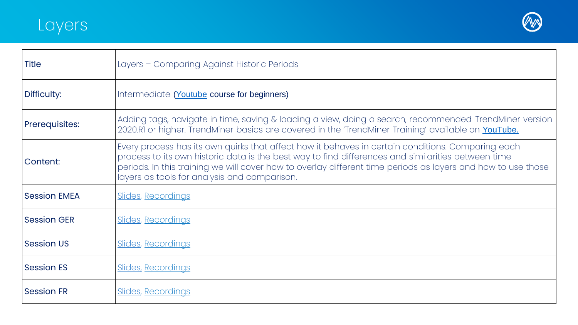| <b>Title</b>        | Layers - Comparing Against Historic Periods                                                                                                                                                        |
|---------------------|----------------------------------------------------------------------------------------------------------------------------------------------------------------------------------------------------|
| Difficulty:         | Intermediate (Youtube course for beginners)                                                                                                                                                        |
| Prerequisites:      | Adding tags, navigate in time, saving & load<br>2020.RI or higher. TrendMiner basics are cove                                                                                                      |
| Content:            | Every process has its own quirks that affect I<br>process to its own historic data is the best w<br>periods. In this training we will cover how to<br>layers as tools for analysis and comparison. |
| <b>Session EMEA</b> | <u>Slides, Recordings</u>                                                                                                                                                                          |
| <b>Session GER</b>  | <u>Slides, Recordings</u>                                                                                                                                                                          |
| <b>Session US</b>   | <u>Slides, Recordings</u>                                                                                                                                                                          |
| <b>Session ES</b>   | <u>Slides, Recordings</u>                                                                                                                                                                          |
| <b>Session FR</b>   | <u>Slides, Recordings</u>                                                                                                                                                                          |



- & loading a view, doing a search, recommended TrendMiner version are covered in the 'TrendMiner Training' available on [YouTube.](https://www.youtube.com/watch?v=ebueBoTLzcA&list=PLoPrtDguHf0lSyjbKbp3grp2xNw-lTZnf)
- affect how it behaves in certain conditions. Comparing each best way to find differences and similarities between time how to overlay different time periods as layers and how to use those daris on.



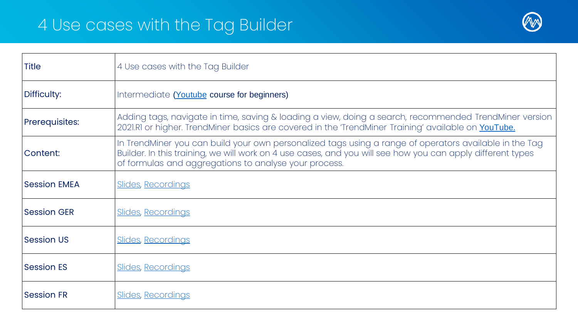## 4 Use cases with the Tag Builder

| <b>Title</b>        | 4 Use cases with the Tag Builder                                                                                                        |
|---------------------|-----------------------------------------------------------------------------------------------------------------------------------------|
| Difficulty:         | Intermediate (Youtube course for beginners)                                                                                             |
| Prerequisites:      | Adding tags, navigate in time, saving & loo<br>2021.RI or higher. TrendMiner basics are co                                              |
| Content:            | In TrendMiner you can build your own pers<br>Builder. In this training, we will work on 4 us<br>of formulas and aggregations to analyse |
| <b>Session EMEA</b> | Slides, Recordings                                                                                                                      |
| <b>Session GER</b>  | <u>Slides, Recordinas</u>                                                                                                               |
| <b>Session US</b>   | <u>Slides, Recordings</u>                                                                                                               |
| <b>Session ES</b>   | Slides, Recordings                                                                                                                      |
| <b>Session FR</b>   | <u>Slides, Recordings</u>                                                                                                               |





& loading a view, doing a search, recommended TrendMiner version The covered in the 'TrendMiner Training' available on [YouTube.](https://www.youtube.com/watch?v=ebueBoTLzcA&list=PLoPrtDguHf0lSyjbKbp3grp2xNw-lTZnf)

personalized tags using a range of operators available in the Tag 4 use cases, and you will see how you can apply different types alyse your process.

| $\overline{\mathcal{L}}$<br>( | $\bigcap$ |  |
|-------------------------------|-----------|--|
|                               |           |  |
|                               |           |  |
|                               |           |  |
| J                             |           |  |
|                               |           |  |
|                               |           |  |
|                               |           |  |
|                               |           |  |
|                               |           |  |
|                               |           |  |
|                               |           |  |
|                               |           |  |
|                               |           |  |
|                               |           |  |
|                               |           |  |
|                               |           |  |
|                               |           |  |
|                               |           |  |
|                               |           |  |
|                               |           |  |
|                               |           |  |
|                               |           |  |
|                               |           |  |
|                               |           |  |
|                               |           |  |
|                               |           |  |
|                               |           |  |
|                               |           |  |
|                               |           |  |
|                               |           |  |
|                               |           |  |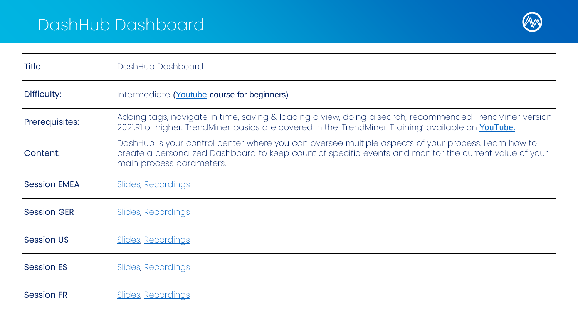## DashHub Dashboard

| <b>Title</b>          | DashHub Dashboard                                                                                               |
|-----------------------|-----------------------------------------------------------------------------------------------------------------|
| Difficulty:           | Intermediate (Youtube course for beginners)                                                                     |
| <b>Prerequisites:</b> | Adding tags, navigate in time, saving & loo<br>2021.RI or higher. TrendMiner basics are co                      |
| <b>Content:</b>       | DashHub is your control center where you<br>create a personalized Dashboard to keep<br>main process parameters. |
| <b>Session EMEA</b>   | <u>Slides, Recordings</u>                                                                                       |
| <b>Session GER</b>    | <u>Slides, Recordings</u>                                                                                       |
| <b>Session US</b>     | <u>Slides, Recordings</u>                                                                                       |
| <b>Session ES</b>     | <u>Slides, Recordings</u>                                                                                       |
| <b>Session FR</b>     | <u>Slides, Recordings</u>                                                                                       |



& loading a view, doing a search, recommended TrendMiner version re covered in the 'TrendMiner Training' available on [YouTube.](https://www.youtube.com/watch?v=ebueBoTLzcA&list=PLoPrtDguHf0lSyjbKbp3grp2xNw-lTZnf)

e you can oversee multiple aspects of your process. Learn how to keep count of specific events and monitor the current value of you

| $\bigcap$<br>)<br>C |  |
|---------------------|--|
| Jr                  |  |
|                     |  |
|                     |  |
|                     |  |
|                     |  |
|                     |  |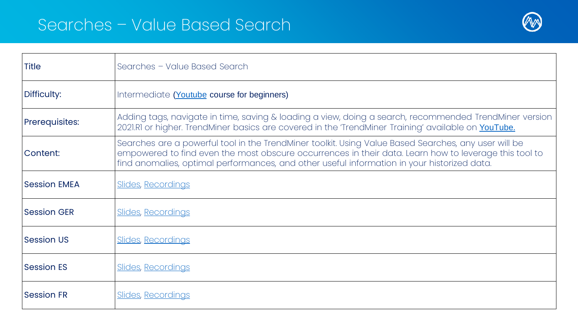| <b>Title</b>        | Searches - Value Based Search                                                                                                    |
|---------------------|----------------------------------------------------------------------------------------------------------------------------------|
| Difficulty:         | Intermediate (Youtube course for beginners)                                                                                      |
| Prerequisites:      | Adding tags, navigate in time, saving & loo<br>2021.RI or higher. TrendMiner basics are co                                       |
| Content:            | Searches are a powerful tool in the Trendl<br>empowered to find even the most obscur<br>find anomalies, optimal performances, ar |
| <b>Session EMEA</b> | Slides, Recordings                                                                                                               |
| <b>Session GER</b>  | <u>Slides, Recordings</u>                                                                                                        |
| <b>Session US</b>   | <u>Slides, Recordings</u>                                                                                                        |
| <b>Session ES</b>   | <u>Slides, Recordings</u>                                                                                                        |
| <b>Session FR</b>   | <u>Slides, Recordings</u>                                                                                                        |





& loading a view, doing a search, recommended TrendMiner version re covered in the 'TrendMiner Training' available on [YouTube.](https://www.youtube.com/watch?v=ebueBoTLzcA&list=PLoPrtDguHf0lSyjbKbp3grp2xNw-lTZnf)

rendMiner toolkit. Using Value Based Searches, any user will be pscure occurrences in their data. Learn how to leverage this tool to es, and other useful information in your historized data.

| $\overline{\mathcal{L}}$<br>C | $\overline{\bigcap}$ |  |
|-------------------------------|----------------------|--|
|                               |                      |  |
|                               |                      |  |
|                               |                      |  |
| ֡֡֡֡֡֡֡                       |                      |  |
|                               |                      |  |
|                               |                      |  |
|                               |                      |  |
|                               |                      |  |
|                               |                      |  |
|                               |                      |  |
|                               |                      |  |
|                               |                      |  |
|                               |                      |  |
|                               |                      |  |
|                               |                      |  |
|                               |                      |  |
|                               |                      |  |
|                               |                      |  |
|                               |                      |  |
|                               |                      |  |
|                               |                      |  |

### Searches – Value Based Search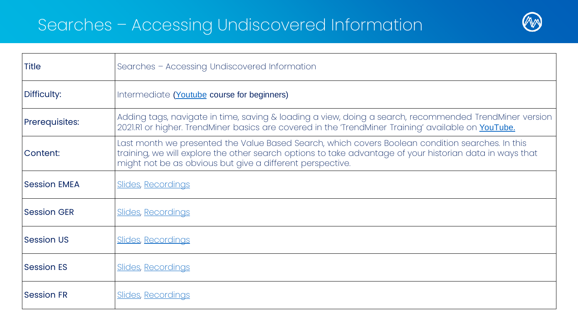| <b>Title</b>        | Searches - Accessing Undiscovered Inform                                                                                               |
|---------------------|----------------------------------------------------------------------------------------------------------------------------------------|
| Difficulty:         | Intermediate (Youtube course for beginners)                                                                                            |
| Prerequisites:      | Adding tags, navigate in time, saving & loo<br>2021.RI or higher. TrendMiner basics are co                                             |
| <b>Content:</b>     | Last month we presented the Value Based<br>training, we will explore the other search of<br>might not be as obvious but give a differe |
| <b>Session EMEA</b> | <u>Slides, Recordings</u>                                                                                                              |
| <b>Session GER</b>  | Slides, Recordings                                                                                                                     |
| <b>Session US</b>   | Slides, Recordings                                                                                                                     |
| <b>Session ES</b>   | <u>Slides, Recordings</u>                                                                                                              |
| <b>Session FR</b>   | <u>Slides, Recordings</u>                                                                                                              |



#### Information

- & loading a view, doing a search, recommended TrendMiner version e covered in the 'TrendMiner Training' available on [YouTube.](https://www.youtube.com/watch?v=ebueBoTLzcA&list=PLoPrtDguHf0lSyjbKbp3grp2xNw-lTZnf)
- Based Search, which covers Boolean condition searches. In this rch options to take advantage of your historian data in ways that lifferent perspective.



## Searches – Accessing Undiscovered Information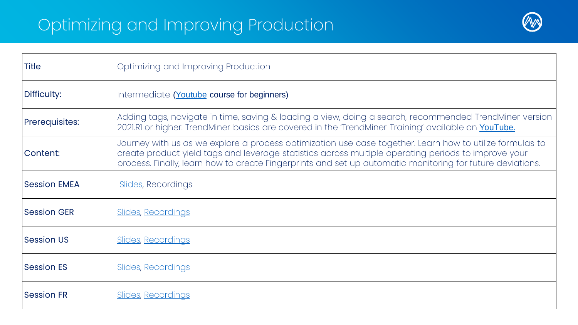| <b>Title</b>        | Optimizing and Improving Production                                                                                                    |
|---------------------|----------------------------------------------------------------------------------------------------------------------------------------|
| Difficulty:         | Intermediate (Youtube course for beginners)                                                                                            |
| Prerequisites:      | Adding tags, navigate in time, saving & loo<br>2021.RI or higher. TrendMiner basics are co                                             |
| Content:            | Journey with us as we explore a process of<br>create product yield tags and leverage st<br>process. Finally, learn how to create Finge |
| <b>Session EMEA</b> | Slides, Recordings                                                                                                                     |
| <b>Session GER</b>  | <u>Slides, Recordings</u>                                                                                                              |
| <b>Session US</b>   | Slides, Recordings                                                                                                                     |
| <b>Session ES</b>   | <u>Slides, Recordings</u>                                                                                                              |
| <b>Session FR</b>   | Slides, Recordings                                                                                                                     |



& loading a view, doing a search, recommended TrendMiner version Te covered in the 'TrendMiner Training' available on [YouTube.](https://www.youtube.com/watch?v=ebueBoTLzcA&list=PLoPrtDguHf0lSyjbKbp3grp2xNw-lTZnf)

ess optimization use case together. Learn how to utilize formulas to ge statistics across multiple operating periods to improve your Fingerprints and set up automatic monitoring for future deviations.



## Optimizing and Improving Production